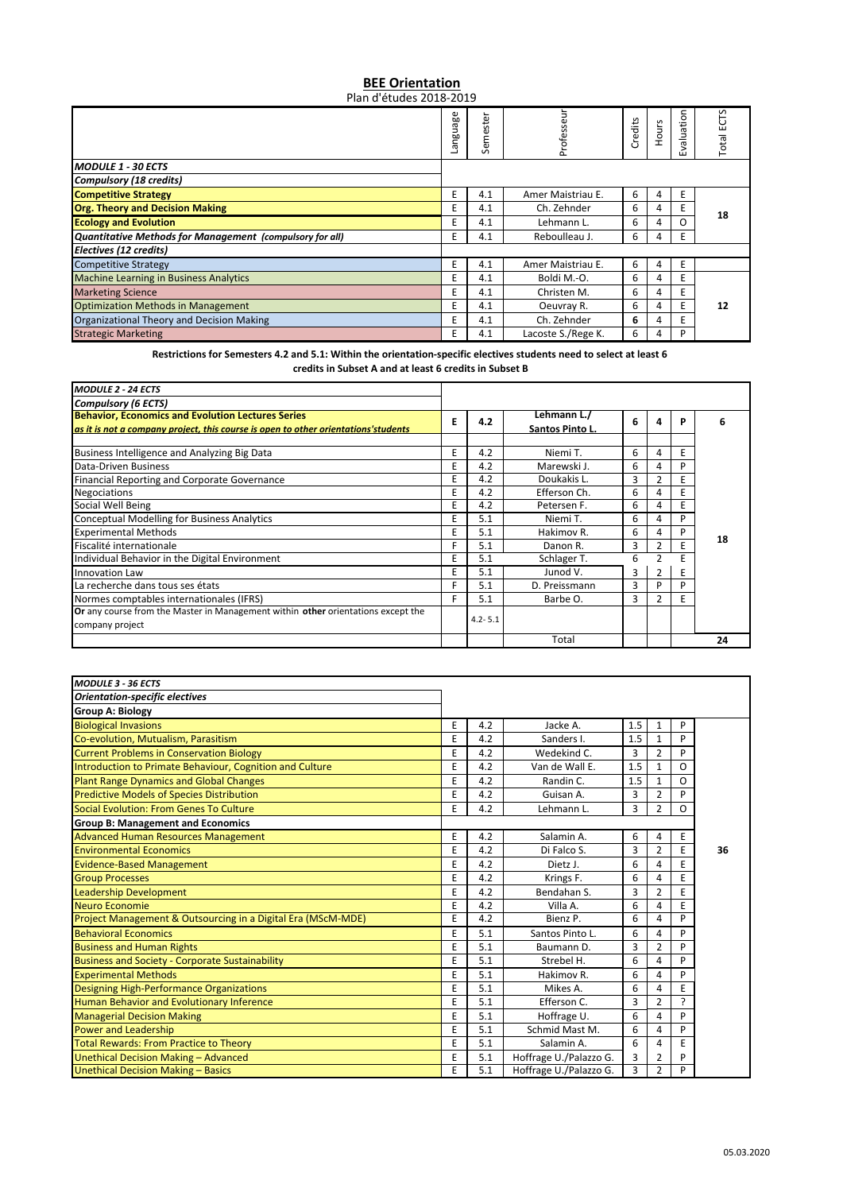## **BEE Orientation** Plan d'études 2018‐2019

|                                                          | anguage | Semester | ≒<br>Profess       | Credits | Hours | aluation<br>úл | ۴<br>싶<br>Total |
|----------------------------------------------------------|---------|----------|--------------------|---------|-------|----------------|-----------------|
| <b>MODULE 1 - 30 ECTS</b>                                |         |          |                    |         |       |                |                 |
| <b>Compulsory (18 credits)</b>                           |         |          |                    |         |       |                |                 |
| <b>Competitive Strategy</b>                              | E       | 4.1      | Amer Maistriau E.  | 6       | 4     | Ε              |                 |
| <b>Org. Theory and Decision Making</b>                   | E       | 4.1      | Ch. Zehnder        | 6       | 4     | E              | 18              |
| <b>Ecology and Evolution</b>                             | E       | 4.1      | Lehmann L.         | 6       | 4     | Ο              |                 |
| Quantitative Methods for Management (compulsory for all) | E       | 4.1      | Reboulleau J.      | 6       | 4     | E              |                 |
| Electives (12 credits)                                   |         |          |                    |         |       |                |                 |
| <b>Competitive Strategy</b>                              | E       | 4.1      | Amer Maistriau E.  | 6       | 4     | E              |                 |
| <b>Machine Learning in Business Analytics</b>            | E       | 4.1      | Boldi M.-O.        | 6       | 4     | E              |                 |
| <b>Marketing Science</b>                                 | E       | 4.1      | Christen M.        | 6       | 4     | E              |                 |
| <b>Optimization Methods in Management</b>                | E       | 4.1      | Oeuvray R.         | 6       | 4     | E              | 12              |
| Organizational Theory and Decision Making                | E       | 4.1      | Ch. Zehnder        | 6       | 4     | E              |                 |
| <b>Strategic Marketing</b>                               | E       | 4.1      | Lacoste S./Rege K. | 6       | 4     | P              |                 |

Restrictions for Semesters 4.2 and 5.1: Within the orientation-specific electives students need to select at least 6 **credits in Subset A and at least 6 credits in Subset B**

| <b>MODULE 2 - 24 ECTS</b>                                                                                                                      |   |             |                                |   |               |   |    |
|------------------------------------------------------------------------------------------------------------------------------------------------|---|-------------|--------------------------------|---|---------------|---|----|
| <b>Compulsory (6 ECTS)</b>                                                                                                                     |   |             |                                |   |               |   |    |
| <b>Behavior, Economics and Evolution Lectures Series</b><br>as it is not a company project, this course is open to other orientations'students | E | 4.2         | Lehmann L./<br>Santos Pinto L. | 6 |               | Р | 6  |
| Business Intelligence and Analyzing Big Data                                                                                                   | E | 4.2         | Niemi T.                       | 6 | 4             | E |    |
| Data-Driven Business                                                                                                                           | E | 4.2         | Marewski J.                    | 6 |               | D |    |
| <b>Financial Reporting and Corporate Governance</b>                                                                                            | E | 4.2         | Doukakis L.                    | 3 |               | E |    |
| <b>Negociations</b>                                                                                                                            | E | 4.2         | Efferson Ch.                   | 6 |               |   |    |
| Social Well Being                                                                                                                              | E | 4.2         | Petersen F.                    | 6 |               | E |    |
| <b>Conceptual Modelling for Business Analytics</b>                                                                                             | E | 5.1         | Niemi T.                       | 6 |               | D |    |
| <b>Experimental Methods</b>                                                                                                                    | E | 5.1         | Hakimov R.                     | 6 |               | P |    |
| Fiscalité internationale                                                                                                                       | F | 5.1         | Danon R.                       | 3 | $\mathcal{P}$ | E | 18 |
| Individual Behavior in the Digital Environment                                                                                                 | E | 5.1         | Schlager T.                    | 6 |               | E |    |
| Innovation Law                                                                                                                                 | E | 5.1         | Junod V.                       | 3 |               | E |    |
| La recherche dans tous ses états                                                                                                               | F | 5.1         | D. Preissmann                  | 3 | D             | D |    |
| Normes comptables internationales (IFRS)                                                                                                       | F | 5.1         | Barbe O.                       | 3 |               | E |    |
| Or any course from the Master in Management within other orientations except the<br>company project                                            |   | $4.2 - 5.1$ |                                |   |               |   |    |
|                                                                                                                                                |   |             | Total                          |   |               |   | 24 |

| <b>MODULE 3 - 36 ECTS</b>                                    |   |     |                        |     |                |    |    |
|--------------------------------------------------------------|---|-----|------------------------|-----|----------------|----|----|
| <b>Orientation-specific electives</b>                        |   |     |                        |     |                |    |    |
| <b>Group A: Biology</b>                                      |   |     |                        |     |                |    |    |
| <b>Biological Invasions</b>                                  | E | 4.2 | Jacke A.               | 1.5 | 1              | P  |    |
| Co-evolution, Mutualism, Parasitism                          | E | 4.2 | Sanders I.             | 1.5 | 1              | p  |    |
| <b>Current Problems in Conservation Biology</b>              | E | 4.2 | Wedekind C.            | 3   | $\overline{2}$ | P  |    |
| Introduction to Primate Behaviour, Cognition and Culture     | E | 4.2 | Van de Wall E.         | 1.5 | $\mathbf{1}$   | O  |    |
| <b>Plant Range Dynamics and Global Changes</b>               | E | 4.2 | Randin C.              | 1.5 | 1              | O  |    |
| <b>Predictive Models of Species Distribution</b>             | E | 4.2 | Guisan A.              | 3   | $\overline{2}$ | D  |    |
| Social Evolution: From Genes To Culture                      | E | 4.2 | Lehmann L.             | 3   | $\overline{2}$ | O  |    |
| <b>Group B: Management and Economics</b>                     |   |     |                        |     |                |    |    |
| <b>Advanced Human Resources Management</b>                   | E | 4.2 | Salamin A.             | 6   | 4              | E  |    |
| <b>Environmental Economics</b>                               | E | 4.2 | Di Falco S.            | 3   | $\overline{2}$ | E  | 36 |
| <b>Evidence-Based Management</b>                             | E | 4.2 | Dietz J.               | 6   | 4              | E  |    |
| <b>Group Processes</b>                                       | E | 4.2 | Krings F.              | 6   | 4              | E  |    |
| <b>Leadership Development</b>                                | E | 4.2 | Bendahan S.            | 3   | $\overline{2}$ | E  |    |
| Neuro Economie                                               | E | 4.2 | Villa A.               | 6   | 4              | E  |    |
| Project Management & Outsourcing in a Digital Era (MScM-MDE) | E | 4.2 | Bienz P.               | 6   | 4              | P  |    |
| <b>Behavioral Economics</b>                                  | E | 5.1 | Santos Pinto L.        | 6   | 4              | P  |    |
| <b>Business and Human Rights</b>                             | E | 5.1 | Baumann D.             | 3   | $\overline{2}$ | P  |    |
| <b>Business and Society - Corporate Sustainability</b>       | E | 5.1 | Strebel H.             | 6   | 4              | D  |    |
| <b>Experimental Methods</b>                                  | E | 5.1 | Hakimov R.             | 6   | 4              | P  |    |
| Designing High-Performance Organizations                     | E | 5.1 | Mikes A.               | 6   | 4              | E  |    |
| <b>Human Behavior and Evolutionary Inference</b>             | E | 5.1 | Efferson C.            | 3   | $\overline{2}$ | C. |    |
| <b>Managerial Decision Making</b>                            | E | 5.1 | Hoffrage U.            | 6   | 4              | P  |    |
| <b>Power and Leadership</b>                                  | E | 5.1 | Schmid Mast M.         | 6   | 4              | P  |    |
| <b>Total Rewards: From Practice to Theory</b>                | E | 5.1 | Salamin A.             | 6   | 4              | E  |    |
| Unethical Decision Making - Advanced                         | E | 5.1 | Hoffrage U./Palazzo G. | 3   | 2              | P  |    |
| Unethical Decision Making - Basics                           | E | 5.1 | Hoffrage U./Palazzo G. | 3   | $\overline{2}$ | D  |    |